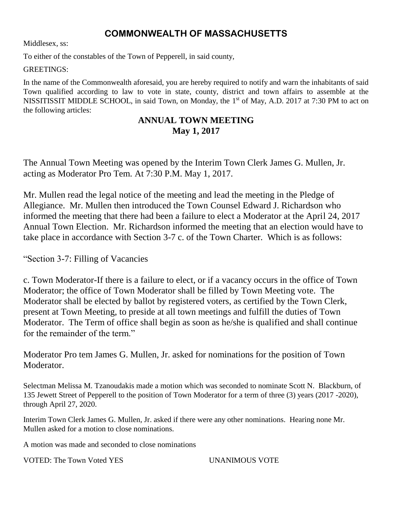# **COMMONWEALTH OF MASSACHUSETTS**

Middlesex, ss:

To either of the constables of the Town of Pepperell, in said county,

GREETINGS:

In the name of the Commonwealth aforesaid, you are hereby required to notify and warn the inhabitants of said Town qualified according to law to vote in state, county, district and town affairs to assemble at the NISSITISSIT MIDDLE SCHOOL, in said Town, on Monday, the 1<sup>st</sup> of May, A.D. 2017 at 7:30 PM to act on the following articles:

# **ANNUAL TOWN MEETING May 1, 2017**

The Annual Town Meeting was opened by the Interim Town Clerk James G. Mullen, Jr. acting as Moderator Pro Tem. At 7:30 P.M. May 1, 2017.

Mr. Mullen read the legal notice of the meeting and lead the meeting in the Pledge of Allegiance. Mr. Mullen then introduced the Town Counsel Edward J. Richardson who informed the meeting that there had been a failure to elect a Moderator at the April 24, 2017 Annual Town Election. Mr. Richardson informed the meeting that an election would have to take place in accordance with Section 3-7 c. of the Town Charter. Which is as follows:

"Section 3-7: Filling of Vacancies

c. Town Moderator-If there is a failure to elect, or if a vacancy occurs in the office of Town Moderator; the office of Town Moderator shall be filled by Town Meeting vote. The Moderator shall be elected by ballot by registered voters, as certified by the Town Clerk, present at Town Meeting, to preside at all town meetings and fulfill the duties of Town Moderator. The Term of office shall begin as soon as he/she is qualified and shall continue for the remainder of the term."

Moderator Pro tem James G. Mullen, Jr. asked for nominations for the position of Town Moderator.

Selectman Melissa M. Tzanoudakis made a motion which was seconded to nominate Scott N. Blackburn, of 135 Jewett Street of Pepperell to the position of Town Moderator for a term of three (3) years (2017 -2020), through April 27, 2020.

Interim Town Clerk James G. Mullen, Jr. asked if there were any other nominations. Hearing none Mr. Mullen asked for a motion to close nominations.

A motion was made and seconded to close nominations

VOTED: The Town Voted YES UNANIMOUS VOTE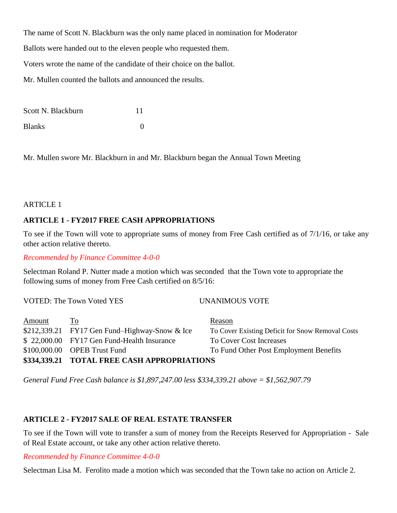The name of Scott N. Blackburn was the only name placed in nomination for Moderator

Ballots were handed out to the eleven people who requested them.

Voters wrote the name of the candidate of their choice on the ballot.

Mr. Mullen counted the ballots and announced the results.

| Scott N. Blackburn |   |
|--------------------|---|
| <b>Blanks</b>      | 0 |

Mr. Mullen swore Mr. Blackburn in and Mr. Blackburn began the Annual Town Meeting

# **ARTICLE 1**

# **ARTICLE 1 - FY2017 FREE CASH APPROPRIATIONS**

To see if the Town will vote to appropriate sums of money from Free Cash certified as of 7/1/16, or take any other action relative thereto.

*Recommended by Finance Committee 4-0-0*

Selectman Roland P. Nutter made a motion which was seconded that the Town vote to appropriate the following sums of money from Free Cash certified on 8/5/16:

VOTED: The Town Voted YES UNANIMOUS VOTE

| Amount | <u>To</u>                                      | Reason                                           |
|--------|------------------------------------------------|--------------------------------------------------|
|        | $$212,339.21$ FY17 Gen Fund-Highway-Snow & Ice | To Cover Existing Deficit for Snow Removal Costs |
|        | \$22,000.00 FY17 Gen Fund-Health Insurance     | To Cover Cost Increases                          |
|        | $$100,000.00$ OPEB Trust Fund                  | To Fund Other Post Employment Benefits           |
|        | \$334,339.21 TOTAL FREE CASH APPROPRIATIONS    |                                                  |

*General Fund Free Cash balance is \$1,897,247.00 less \$334,339.21 above = \$1,562,907.79*

# **ARTICLE 2 - FY2017 SALE OF REAL ESTATE TRANSFER**

To see if the Town will vote to transfer a sum of money from the Receipts Reserved for Appropriation - Sale of Real Estate account, or take any other action relative thereto.

*Recommended by Finance Committee 4-0-0*

Selectman Lisa M. Ferolito made a motion which was seconded that the Town take no action on Article 2.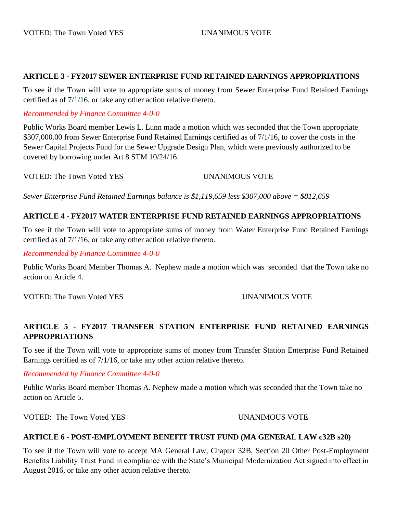# **ARTICLE 3 - FY2017 SEWER ENTERPRISE FUND RETAINED EARNINGS APPROPRIATIONS**

To see if the Town will vote to appropriate sums of money from Sewer Enterprise Fund Retained Earnings certified as of 7/1/16, or take any other action relative thereto.

*Recommended by Finance Committee 4-0-0*

Public Works Board member Lewis L. Lunn made a motion which was seconded that the Town appropriate \$307,000.00 from Sewer Enterprise Fund Retained Earnings certified as of 7/1/16, to cover the costs in the Sewer Capital Projects Fund for the Sewer Upgrade Design Plan, which were previously authorized to be covered by borrowing under Art 8 STM 10/24/16.

VOTED: The Town Voted YES UNANIMOUS VOTE

*Sewer Enterprise Fund Retained Earnings balance is \$1,119,659 less \$307,000 above = \$812,659*

# **ARTICLE 4 - FY2017 WATER ENTERPRISE FUND RETAINED EARNINGS APPROPRIATIONS**

To see if the Town will vote to appropriate sums of money from Water Enterprise Fund Retained Earnings certified as of 7/1/16, or take any other action relative thereto.

*Recommended by Finance Committee 4-0-0*

Public Works Board Member Thomas A. Nephew made a motion which was seconded that the Town take no action on Article 4.

VOTED: The Town Voted YES UNANIMOUS VOTE

# **ARTICLE 5 - FY2017 TRANSFER STATION ENTERPRISE FUND RETAINED EARNINGS APPROPRIATIONS**

To see if the Town will vote to appropriate sums of money from Transfer Station Enterprise Fund Retained Earnings certified as of 7/1/16, or take any other action relative thereto.

# *Recommended by Finance Committee 4-0-0*

Public Works Board member Thomas A. Nephew made a motion which was seconded that the Town take no action on Article 5.

VOTED: The Town Voted YES UNANIMOUS VOTE

# **ARTICLE 6 - POST-EMPLOYMENT BENEFIT TRUST FUND (MA GENERAL LAW c32B s20)**

To see if the Town will vote to accept MA General Law, Chapter 32B, Section 20 Other Post-Employment Benefits Liability Trust Fund in compliance with the State's Municipal Modernization Act signed into effect in August 2016, or take any other action relative thereto.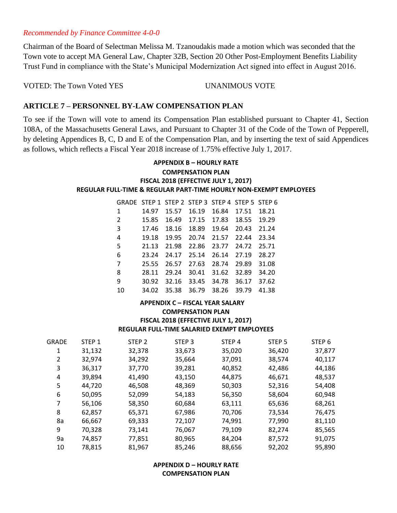## *Recommended by Finance Committee 4-0-0*

Chairman of the Board of Selectman Melissa M. Tzanoudakis made a motion which was seconded that the Town vote to accept MA General Law, Chapter 32B, Section 20 Other Post-Employment Benefits Liability Trust Fund in compliance with the State's Municipal Modernization Act signed into effect in August 2016.

VOTED: The Town Voted YES UNANIMOUS VOTE

# **ARTICLE 7 – PERSONNEL BY-LAW COMPENSATION PLAN**

To see if the Town will vote to amend its Compensation Plan established pursuant to Chapter 41, Section 108A, of the Massachusetts General Laws, and Pursuant to Chapter 31 of the Code of the Town of Pepperell, by deleting Appendices B, C, D and E of the Compensation Plan, and by inserting the text of said Appendices as follows, which reflects a Fiscal Year 2018 increase of 1.75% effective July 1, 2017.

### **APPENDIX B – HOURLY RATE COMPENSATION PLAN FISCAL 2018 (EFFECTIVE JULY 1, 2017) REGULAR FULL-TIME & REGULAR PART-TIME HOURLY NON-EXEMPT EMPLOYEES**

| GRADE STEP 1 STEP 2 STEP 3 STEP 4 STEP 5 STEP 6 |       |       |       |             |       |       |
|-------------------------------------------------|-------|-------|-------|-------------|-------|-------|
| 1                                               | 14.97 | 15.57 | 16.19 | 16.84       | 17.51 | 18.21 |
| 2                                               | 15.85 | 16.49 |       | 17.15 17.83 | 18.55 | 19.29 |
| $\overline{3}$                                  | 17.46 | 18.16 | 18.89 | 19.64       | 20.43 | 21.24 |
| 4                                               | 19.18 | 19.95 | 20.74 | 21.57       | 22.44 | 23.34 |
| -5                                              | 21.13 | 21.98 | 22.86 | 23.77       | 24.72 | 25.71 |
| 6                                               | 23.24 | 24.17 | 25.14 | 26.14       | 27.19 | 28.27 |
| 7                                               | 25.55 | 26.57 | 27.63 | 28.74       | 29.89 | 31.08 |
| 8                                               | 28.11 | 29.24 | 30.41 | 31.62       | 32.89 | 34.20 |
| 9                                               | 30.92 | 32.16 | 33.45 | 34.78       | 36.17 | 37.62 |
| 10                                              | 34.02 | 35.38 | 36.79 | 38.26       | 39.79 | 41.38 |

### **APPENDIX C – FISCAL YEAR SALARY COMPENSATION PLAN FISCAL 2018 (EFFECTIVE JULY 1, 2017) REGULAR FULL-TIME SALARIED EXEMPT EMPLOYEES**

| GRADE | STEP 1 | STEP <sub>2</sub> | STEP <sub>3</sub> | STEP <sub>4</sub> | STEP <sub>5</sub> | STEP <sub>6</sub> |
|-------|--------|-------------------|-------------------|-------------------|-------------------|-------------------|
| 1     | 31,132 | 32,378            | 33,673            | 35,020            | 36,420            | 37,877            |
| 2     | 32,974 | 34,292            | 35,664            | 37,091            | 38,574            | 40,117            |
| 3     | 36,317 | 37,770            | 39,281            | 40,852            | 42,486            | 44,186            |
| 4     | 39,894 | 41,490            | 43,150            | 44,875            | 46,671            | 48,537            |
| 5     | 44,720 | 46,508            | 48,369            | 50,303            | 52,316            | 54,408            |
| 6     | 50,095 | 52,099            | 54,183            | 56,350            | 58,604            | 60,948            |
| 7     | 56,106 | 58,350            | 60,684            | 63,111            | 65,636            | 68,261            |
| 8     | 62,857 | 65,371            | 67,986            | 70,706            | 73,534            | 76,475            |
| 8a    | 66,667 | 69,333            | 72,107            | 74,991            | 77,990            | 81,110            |
| 9     | 70,328 | 73,141            | 76,067            | 79,109            | 82,274            | 85,565            |
| 9a    | 74,857 | 77,851            | 80,965            | 84,204            | 87,572            | 91,075            |
| 10    | 78,815 | 81,967            | 85,246            | 88,656            | 92,202            | 95.890            |

# **APPENDIX D – HOURLY RATE COMPENSATION PLAN**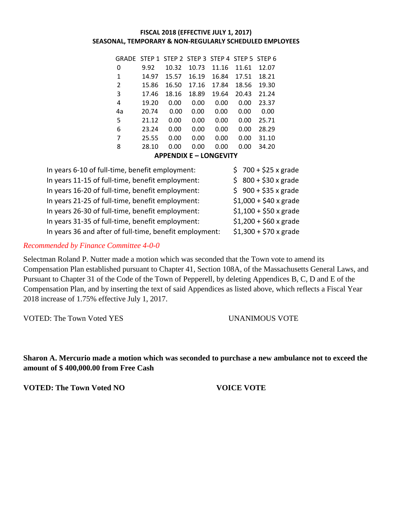### **FISCAL 2018 (EFFECTIVE JULY 1, 2017) SEASONAL, TEMPORARY & NON-REGULARLY SCHEDULED EMPLOYEES**

|    | GRADE STEP 1 STEP 2 STEP 3 STEP 4 STEP 5 STEP 6 |                 |       |                     |       |       |
|----|-------------------------------------------------|-----------------|-------|---------------------|-------|-------|
| 0  | 9.92                                            | 10.32           | 10.73 | 11.16               | 11.61 | 12.07 |
| 1  | 14.97                                           | 15.57           | 16.19 | 16.84               | 17.51 | 18.21 |
| 2  | 15.86                                           | 16.50           | 17.16 | 17.84               | 18.56 | 19.30 |
| 3  | 17.46                                           | 18.16           | 18.89 | 19.64               | 20.43 | 21.24 |
| 4  | 19.20                                           | 0.00            | 0.00  | 0.00                | 0.00  | 23.37 |
| 4a | 20.74                                           | 0.00            | 0.00  | 0.00                | 0.00  | 0.00  |
| 5  | 21.12                                           | 0.00            | 0.00  | 0.00                | 0.00  | 25.71 |
| 6  | 23.24                                           | 0.00            | 0.00  | 0.00                | 0.00  | 28.29 |
| 7  | 25.55                                           | 0.00            | 0.00  | 0.00                | 0.00  | 31.10 |
| 8  | 28.10                                           | 0.00            | 0.00  | 0.00                | 0.00  | 34.20 |
|    |                                                 | 1.0000101010101 |       | <u>. ALLAPLUTIL</u> |       |       |

**APPENDIX E – LONGEVITY**

| $$700 + $25 x$ grade         |
|------------------------------|
| $$800 + $30x$ grade          |
| $$900 + $35x$ grade          |
| $$1,000 + $40 \times g$ rade |
| $$1,100 + $50 \times g$ rade |
| $$1,200 + $60 \times g$ rade |
| $$1,300 + $70 x$ grade       |
|                              |

# *Recommended by Finance Committee 4-0-0*

Selectman Roland P. Nutter made a motion which was seconded that the Town vote to amend its Compensation Plan established pursuant to Chapter 41, Section 108A, of the Massachusetts General Laws, and Pursuant to Chapter 31 of the Code of the Town of Pepperell, by deleting Appendices B, C, D and E of the Compensation Plan, and by inserting the text of said Appendices as listed above, which reflects a Fiscal Year 2018 increase of 1.75% effective July 1, 2017.

VOTED: The Town Voted YES UNANIMOUS VOTE

**Sharon A. Mercurio made a motion which was seconded to purchase a new ambulance not to exceed the amount of \$ 400,000.00 from Free Cash**

**VOTED: The Town Voted NO VOICE VOTE**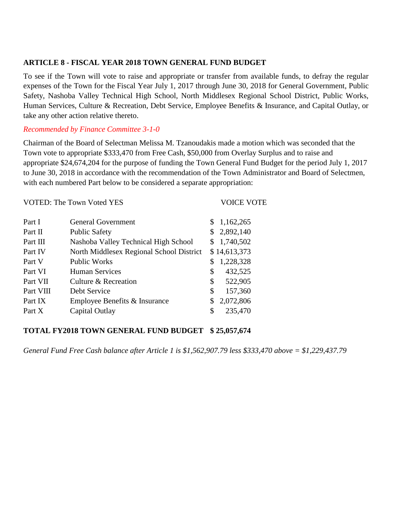# **ARTICLE 8 - FISCAL YEAR 2018 TOWN GENERAL FUND BUDGET**

To see if the Town will vote to raise and appropriate or transfer from available funds, to defray the regular expenses of the Town for the Fiscal Year July 1, 2017 through June 30, 2018 for General Government, Public Safety, Nashoba Valley Technical High School, North Middlesex Regional School District, Public Works, Human Services, Culture & Recreation, Debt Service, Employee Benefits & Insurance, and Capital Outlay, or take any other action relative thereto.

# *Recommended by Finance Committee 3-1-0*

Chairman of the Board of Selectman Melissa M. Tzanoudakis made a motion which was seconded that the Town vote to appropriate \$333,470 from Free Cash, \$50,000 from Overlay Surplus and to raise and appropriate \$24,674,204 for the purpose of funding the Town General Fund Budget for the period July 1, 2017 to June 30, 2018 in accordance with the recommendation of the Town Administrator and Board of Selectmen, with each numbered Part below to be considered a separate appropriation:

|           | <b>VOTED: The Town Voted YES</b>         | <b>VOICE VOTE</b> |
|-----------|------------------------------------------|-------------------|
| Part I    | <b>General Government</b>                | \$1,162,265       |
| Part II   | <b>Public Safety</b>                     | 2,892,140         |
| Part III  | Nashoba Valley Technical High School     | 1,740,502<br>\$   |
| Part IV   | North Middlesex Regional School District | \$14,613,373      |
| Part V    | <b>Public Works</b>                      | 1,228,328         |
| Part VI   | <b>Human Services</b>                    | 432,525<br>\$     |
| Part VII  | Culture & Recreation                     | \$<br>522,905     |
| Part VIII | Debt Service                             | \$<br>157,360     |
| Part IX   | Employee Benefits & Insurance            | 2,072,806<br>\$   |
| Part X    | Capital Outlay                           | \$<br>235,470     |

# **TOTAL FY2018 TOWN GENERAL FUND BUDGET \$ 25,057,674**

*General Fund Free Cash balance after Article 1 is \$1,562,907.79 less \$333,470 above = \$1,229,437.79*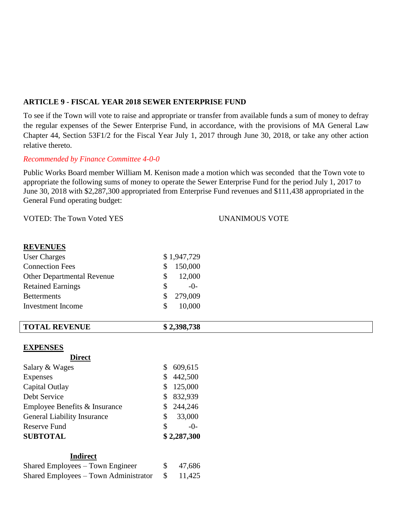# **ARTICLE 9 - FISCAL YEAR 2018 SEWER ENTERPRISE FUND**

To see if the Town will vote to raise and appropriate or transfer from available funds a sum of money to defray the regular expenses of the Sewer Enterprise Fund, in accordance, with the provisions of MA General Law Chapter 44, Section 53F1/2 for the Fiscal Year July 1, 2017 through June 30, 2018, or take any other action relative thereto.

# *Recommended by Finance Committee 4-0-0*

Public Works Board member William M. Kenison made a motion which was seconded that the Town vote to appropriate the following sums of money to operate the Sewer Enterprise Fund for the period July 1, 2017 to June 30, 2018 with \$2,287,300 appropriated from Enterprise Fund revenues and \$111,438 appropriated in the General Fund operating budget:

VOTED: The Town Voted YES UNANIMOUS VOTE

# **REVENUES**

| <b>User Charges</b>               |              | \$1,947,729 |
|-----------------------------------|--------------|-------------|
| <b>Connection Fees</b>            | <sup>S</sup> | 150,000     |
| <b>Other Departmental Revenue</b> | S.           | 12,000      |
| <b>Retained Earnings</b>          | \$.          | $-()$ -     |
| <b>Betterments</b>                | \$.          | 279,009     |
| <b>Investment</b> Income          | S.           | 10,000      |

| <b>TOTAL REVENUE</b> | .398,738 |
|----------------------|----------|
|                      |          |

# **EXPENSES**

| Salary & Wages                     |    | 609,615     |
|------------------------------------|----|-------------|
| <b>Expenses</b>                    | \$ | 442,500     |
| Capital Outlay                     | S  | 125,000     |
| Debt Service                       | S  | 832,939     |
| Employee Benefits & Insurance      | S  | 244,246     |
| <b>General Liability Insurance</b> | \$ | 33,000      |
| <b>Reserve Fund</b>                | \$ | $-0-$       |
| <b>SUBTOTAL</b>                    |    | \$2,287,300 |
|                                    |    |             |

# **Indirect**

| Shared Employees – Town Engineer      |     | \$47,686 |
|---------------------------------------|-----|----------|
| Shared Employees – Town Administrator | - S | 11,425   |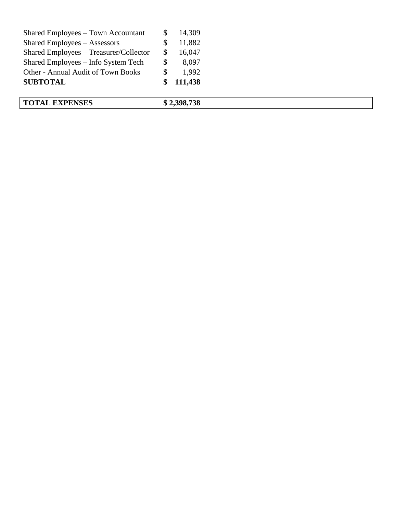| <b>TOTAL EXPENSES</b>                  |    | \$2,398,738 |  |  |
|----------------------------------------|----|-------------|--|--|
| <b>SUBTOTAL</b>                        |    | 111,438     |  |  |
| Other - Annual Audit of Town Books     |    | 1.992       |  |  |
| Shared Employees – Info System Tech    | \$ | 8,097       |  |  |
| Shared Employees - Treasurer/Collector | S  | 16,047      |  |  |
| Shared Employees – Assessors           |    | 11,882      |  |  |
| Shared Employees – Town Accountant     |    | 14,309      |  |  |
|                                        |    |             |  |  |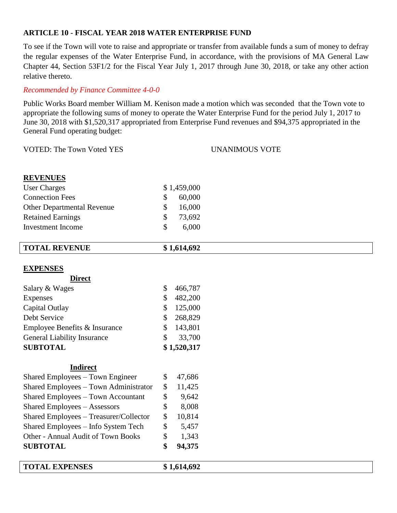# **ARTICLE 10 - FISCAL YEAR 2018 WATER ENTERPRISE FUND**

To see if the Town will vote to raise and appropriate or transfer from available funds a sum of money to defray the regular expenses of the Water Enterprise Fund, in accordance, with the provisions of MA General Law Chapter 44, Section 53F1/2 for the Fiscal Year July 1, 2017 through June 30, 2018, or take any other action relative thereto.

# *Recommended by Finance Committee 4-0-0*

Public Works Board member William M. Kenison made a motion which was seconded that the Town vote to appropriate the following sums of money to operate the Water Enterprise Fund for the period July 1, 2017 to June 30, 2018 with \$1,520,317 appropriated from Enterprise Fund revenues and \$94,375 appropriated in the General Fund operating budget:

VOTED: The Town Voted YES UNANIMOUS VOTE

| <b>REVENUES</b> |  |
|-----------------|--|
|                 |  |

| User Charges                      | \$1,459,000 |
|-----------------------------------|-------------|
| <b>Connection Fees</b>            | 60,000      |
| <b>Other Departmental Revenue</b> | 16,000      |
| <b>Retained Earnings</b>          | 73,692      |
| Investment Income                 | 6,000       |
|                                   |             |

| <b>TOTAL REVENUE</b>                   | \$1,614,692            |
|----------------------------------------|------------------------|
|                                        |                        |
| <b>EXPENSES</b>                        |                        |
| <b>Direct</b>                          |                        |
| Salary & Wages                         | \$<br>466,787          |
| Expenses                               | \$<br>482,200          |
| Capital Outlay                         | 125,000<br>\$          |
| Debt Service                           | \$<br>268,829          |
| Employee Benefits & Insurance          | 143,801<br>\$          |
| <b>General Liability Insurance</b>     | \$<br>33,700           |
| <b>SUBTOTAL</b>                        | \$1,520,317            |
|                                        |                        |
| <b>Indirect</b>                        |                        |
| Shared Employees – Town Engineer       | \$<br>47,686           |
| Shared Employees - Town Administrator  | $\mathbb{S}$<br>11,425 |
| Shared Employees – Town Accountant     | \$<br>9,642            |
| <b>Shared Employees - Assessors</b>    | \$<br>8,008            |
| Shared Employees – Treasurer/Collector | \$<br>10,814           |
| Shared Employees – Info System Tech    | \$<br>5,457            |

# Other - Annual Audit of Town Books \$ 1,343 **SUBTOTAL \$ 94,375 TOTAL EXPENSES \$ 1,614,692**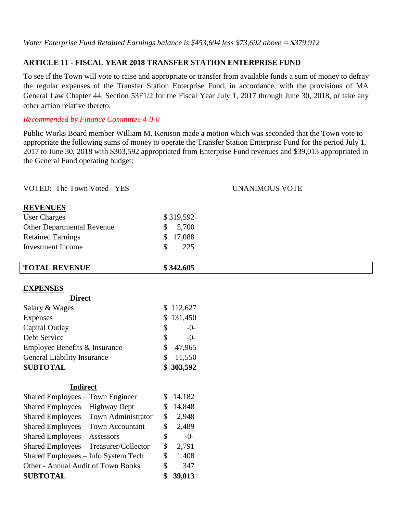# **ARTICLE 11 - FISCAL YEAR 2018 TRANSFER STATION ENTERPRISE FUND**

To see if the Town will vote to raise and appropriate or transfer from available funds a sum of money to defray the regular expenses of the Transfer Station Enterprise Fund, in accordance, with the provisions of MA General Law Chapter 44, Section 53F1/2 for the Fiscal Year July 1, 2017 through June 30, 2018, or take any other action relative thereto.

# *Recommended by Finance Committee 4-0-0*

Public Works Board member William M. Kenison made a motion which was seconded that the Town vote to appropriate the following sums of money to operate the Transfer Station Enterprise Fund for the period July 1, 2017 to June 30, 2018 with \$303,592 appropriated from Enterprise Fund revenues and \$39,013 appropriated in the General Fund operating budget:

| VOTED: The Town Voted YES                 |    |           | <b>UNANIMOUS VOTE</b> |
|-------------------------------------------|----|-----------|-----------------------|
| <b>REVENUES</b>                           |    |           |                       |
| <b>User Charges</b>                       |    | \$319,592 |                       |
| <b>Other Departmental Revenue</b>         | \$ | 5,700     |                       |
| <b>Retained Earnings</b>                  | \$ | 17,088    |                       |
| <b>Investment Income</b>                  | \$ | 225       |                       |
| <b>TOTAL REVENUE</b>                      |    | \$342,605 |                       |
|                                           |    |           |                       |
| <b>EXPENSES</b><br><b>Direct</b>          |    |           |                       |
| Salary & Wages                            | \$ | 112,627   |                       |
| Expenses                                  | S  | 131,450   |                       |
| Capital Outlay                            | \$ | $-0-$     |                       |
| Debt Service                              | \$ | $-0-$     |                       |
| Employee Benefits & Insurance             | \$ | 47,965    |                       |
| <b>General Liability Insurance</b>        | \$ | 11,550    |                       |
| <b>SUBTOTAL</b>                           |    | 303,592   |                       |
| <b>Indirect</b>                           |    |           |                       |
| Shared Employees - Town Engineer          | \$ | 14,182    |                       |
| Shared Employees - Highway Dept           | \$ | 14,848    |                       |
| Shared Employees - Town Administrator     | \$ | 2,948     |                       |
| <b>Shared Employees - Town Accountant</b> | \$ | 2,489     |                       |
| <b>Shared Employees - Assessors</b>       | \$ | $-0-$     |                       |
| Shared Employees - Treasurer/Collector    | \$ | 2,791     |                       |
| Shared Employees - Info System Tech       | \$ | 1,408     |                       |
| Other - Annual Audit of Town Books        | \$ | 347       |                       |
| <b>SUBTOTAL</b>                           | \$ | 39,013    |                       |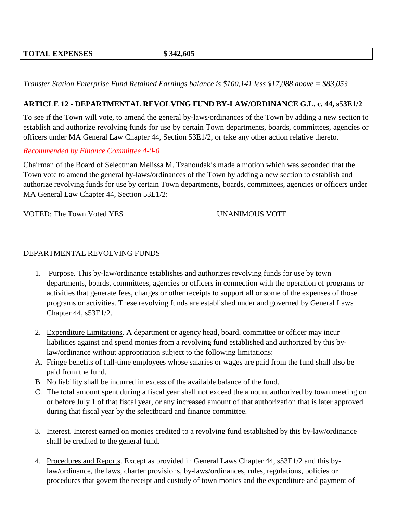*Transfer Station Enterprise Fund Retained Earnings balance is \$100,141 less \$17,088 above = \$83,053*

# **ARTICLE 12 - DEPARTMENTAL REVOLVING FUND BY-LAW/ORDINANCE G.L. c. 44, s53E1/2**

To see if the Town will vote, to amend the general by-laws/ordinances of the Town by adding a new section to establish and authorize revolving funds for use by certain Town departments, boards, committees, agencies or officers under MA General Law Chapter 44, Section 53E1/2, or take any other action relative thereto.

# *Recommended by Finance Committee 4-0-0*

Chairman of the Board of Selectman Melissa M. Tzanoudakis made a motion which was seconded that the Town vote to amend the general by-laws/ordinances of the Town by adding a new section to establish and authorize revolving funds for use by certain Town departments, boards, committees, agencies or officers under MA General Law Chapter 44, Section 53E1/2:

VOTED: The Town Voted YES UNANIMOUS VOTE

# DEPARTMENTAL REVOLVING FUNDS

- 1. Purpose. This by-law/ordinance establishes and authorizes revolving funds for use by town departments, boards, committees, agencies or officers in connection with the operation of programs or activities that generate fees, charges or other receipts to support all or some of the expenses of those programs or activities. These revolving funds are established under and governed by General Laws Chapter 44, s53E1/2.
- 2. Expenditure Limitations. A department or agency head, board, committee or officer may incur liabilities against and spend monies from a revolving fund established and authorized by this bylaw/ordinance without appropriation subject to the following limitations:
- A. Fringe benefits of full-time employees whose salaries or wages are paid from the fund shall also be paid from the fund.
- B. No liability shall be incurred in excess of the available balance of the fund.
- C. The total amount spent during a fiscal year shall not exceed the amount authorized by town meeting on or before July 1 of that fiscal year, or any increased amount of that authorization that is later approved during that fiscal year by the selectboard and finance committee.
- 3. Interest. Interest earned on monies credited to a revolving fund established by this by-law/ordinance shall be credited to the general fund.
- 4. Procedures and Reports. Except as provided in General Laws Chapter 44, s53E1/2 and this bylaw/ordinance, the laws, charter provisions, by-laws/ordinances, rules, regulations, policies or procedures that govern the receipt and custody of town monies and the expenditure and payment of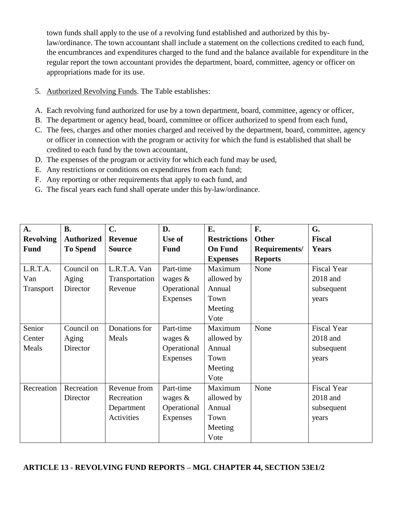town funds shall apply to the use of a revolving fund established and authorized by this bylaw/ordinance. The town accountant shall include a statement on the collections credited to each fund, the encumbrances and expenditures charged to the fund and the balance available for expenditure in the regular report the town accountant provides the department, board, committee, agency or officer on appropriations made for its use.

- 5. Authorized Revolving Funds. The Table establishes:
- A. Each revolving fund authorized for use by a town department, board, committee, agency or officer,
- B. The department or agency head, board, committee or officer authorized to spend from each fund,
- C. The fees, charges and other monies charged and received by the department, board, committee, agency or officer in connection with the program or activity for which the fund is established that shall be credited to each fund by the town accountant,
- D. The expenses of the program or activity for which each fund may be used,
- E. Any restrictions or conditions on expenditures from each fund;
- F. Any reporting or other requirements that apply to each fund, and
- G. The fiscal years each fund shall operate under this by-law/ordinance.

| A.               | <b>B.</b>         | C.             | D.          | E.                  | F.             | G.                 |
|------------------|-------------------|----------------|-------------|---------------------|----------------|--------------------|
| <b>Revolving</b> | <b>Authorized</b> | <b>Revenue</b> | Use of      | <b>Restrictions</b> | <b>Other</b>   | <b>Fiscal</b>      |
| <b>Fund</b>      | <b>To Spend</b>   | <b>Source</b>  | <b>Fund</b> | <b>On Fund</b>      | Requirements/  | <b>Years</b>       |
|                  |                   |                |             | <b>Expenses</b>     | <b>Reports</b> |                    |
| L.R.T.A.         | Council on        | L.R.T.A. Van   | Part-time   | Maximum             | None           | <b>Fiscal Year</b> |
| Van              | Aging             | Transportation | wages $\&$  | allowed by          |                | 2018 and           |
| Transport        | Director          | Revenue        | Operational | Annual              |                | subsequent         |
|                  |                   |                | Expenses    | Town                |                | years              |
|                  |                   |                |             | Meeting             |                |                    |
|                  |                   |                |             | Vote                |                |                    |
| Senior           | Council on        | Donations for  | Part-time   | Maximum             | None           | <b>Fiscal Year</b> |
| Center           | Aging             | Meals          | wages $\&$  | allowed by          |                | 2018 and           |
| Meals            | Director          |                | Operational | Annual              |                | subsequent         |
|                  |                   |                | Expenses    | Town                |                | years              |
|                  |                   |                |             | Meeting             |                |                    |
|                  |                   |                |             | Vote                |                |                    |
| Recreation       | Recreation        | Revenue from   | Part-time   | Maximum             | None           | <b>Fiscal Year</b> |
|                  | Director          | Recreation     | wages $\&$  | allowed by          |                | 2018 and           |
|                  |                   | Department     | Operational | Annual              |                | subsequent         |
|                  |                   | Activities     | Expenses    | Town                |                | years              |
|                  |                   |                |             | Meeting             |                |                    |
|                  |                   |                |             | Vote                |                |                    |

# **ARTICLE 13 - REVOLVING FUND REPORTS – MGL CHAPTER 44, SECTION 53E1/2**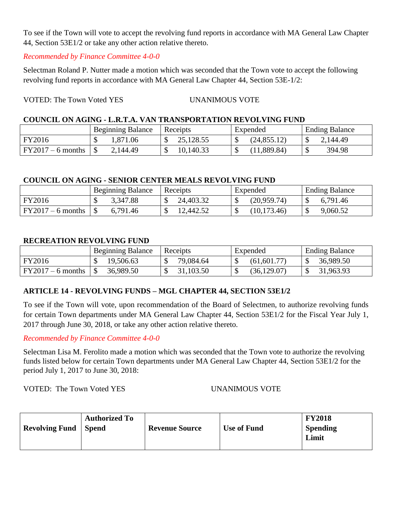To see if the Town will vote to accept the revolving fund reports in accordance with MA General Law Chapter 44, Section 53E1/2 or take any other action relative thereto.

# *Recommended by Finance Committee 4-0-0*

Selectman Roland P. Nutter made a motion which was seconded that the Town vote to accept the following revolving fund reports in accordance with MA General Law Chapter 44, Section 53E-1/2:

# VOTED: The Town Voted YES UNANIMOUS VOTE

# **COUNCIL ON AGING - L.R.T.A. VAN TRANSPORTATION REVOLVING FUND**

|                     | <b>Beginning Balance</b> | Receipts  | Expended     | <b>Ending Balance</b> |
|---------------------|--------------------------|-----------|--------------|-----------------------|
| FY2016              | .371.06                  | 25,128.55 | (24, 855.12) | 2,144.49              |
| $FY2017 - 6$ months | 2,144.49                 | 10,140.33 | (11,889.84)  | 394.98                |

# **COUNCIL ON AGING - SENIOR CENTER MEALS REVOLVING FUND**

|                     | <b>Beginning Balance</b> | Receipts  | Expended          | <b>Ending Balance</b> |
|---------------------|--------------------------|-----------|-------------------|-----------------------|
| FY2016              | 3,347.88                 | 24,403.32 | (20,959.74)<br>۰D | 6,791.46              |
| $FY2017 - 6$ months | 6,791.46                 | 12,442.52 | (10, 173.46)      | 9,060.52              |

# **RECREATION REVOLVING FUND**

|                     | <b>Beginning Balance</b> | Receipts  | Expended     | <b>Ending Balance</b> |
|---------------------|--------------------------|-----------|--------------|-----------------------|
| FY2016              | 19,506.63                | 79,084.64 | (61,601.77)  | 36,989.50             |
| $FY2017 - 6$ months | 36,989.50                | 31,103.50 | (36, 129.07) | 31,963.93             |

# **ARTICLE 14 - REVOLVING FUNDS – MGL CHAPTER 44, SECTION 53E1/2**

To see if the Town will vote, upon recommendation of the Board of Selectmen, to authorize revolving funds for certain Town departments under MA General Law Chapter 44, Section 53E1/2 for the Fiscal Year July 1, 2017 through June 30, 2018, or take any other action relative thereto.

*Recommended by Finance Committee 4-0-0*

Selectman Lisa M. Ferolito made a motion which was seconded that the Town vote to authorize the revolving funds listed below for certain Town departments under MA General Law Chapter 44, Section 53E1/2 for the period July 1, 2017 to June 30, 2018:

VOTED: The Town Voted YES UNANIMOUS VOTE

| <b>Revolving Fund</b> | <b>Authorized To</b><br><b>Spend</b> | <b>Revenue Source</b> | <b>Use of Fund</b> | <b>FY2018</b><br><b>Spending</b><br>Limit |
|-----------------------|--------------------------------------|-----------------------|--------------------|-------------------------------------------|
|-----------------------|--------------------------------------|-----------------------|--------------------|-------------------------------------------|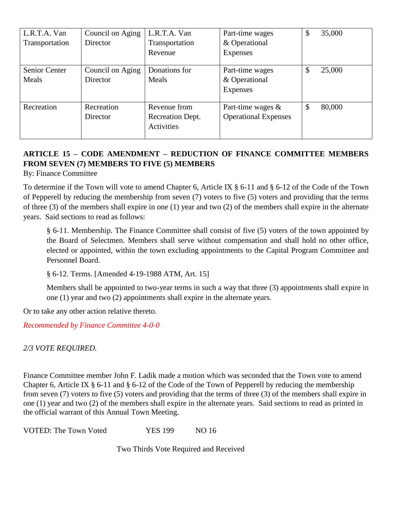| L.R.T.A. Van<br>Transportation | Council on Aging<br>Director | L.R.T.A. Van<br>Transportation<br>Revenue      | Part-time wages<br>& Operational<br>Expenses        | \$ | 35,000 |
|--------------------------------|------------------------------|------------------------------------------------|-----------------------------------------------------|----|--------|
| Senior Center<br>Meals         | Council on Aging<br>Director | Donations for<br>Meals                         | Part-time wages<br>& Operational<br>Expenses        | \$ | 25,000 |
| Recreation                     | Recreation<br>Director       | Revenue from<br>Recreation Dept.<br>Activities | Part-time wages $\&$<br><b>Operational Expenses</b> | S  | 80,000 |

# **ARTICLE 15 – CODE AMENDMENT – REDUCTION OF FINANCE COMMITTEE MEMBERS FROM SEVEN (7) MEMBERS TO FIVE (5) MEMBERS**

By: Finance Committee

To determine if the Town will vote to amend Chapter 6, Article IX § 6-11 and § 6-12 of the Code of the Town of Pepperell by reducing the membership from seven (7) voters to five (5) voters and providing that the terms of three (3) of the members shall expire in one (1) year and two (2) of the members shall expire in the alternate years. Said sections to read as follows:

§ 6-11. Membership. The Finance Committee shall consist of five (5) voters of the town appointed by the Board of Selectmen. Members shall serve without compensation and shall hold no other office, elected or appointed, within the town excluding appointments to the Capital Program Committee and Personnel Board.

§ 6-12. Terms. [Amended 4-19-1988 ATM, Art. 15]

Members shall be appointed to two-year terms in such a way that three (3) appointments shall expire in one (1) year and two (2) appointments shall expire in the alternate years.

Or to take any other action relative thereto.

*Recommended by Finance Committee 4-0-0*

*2/3 VOTE REQUIRED.*

Finance Committee member John F. Ladik made a motion which was seconded that the Town vote to amend Chapter 6, Article IX  $\S$  6-11 and  $\S$  6-12 of the Code of the Town of Pepperell by reducing the membership from seven (7) voters to five (5) voters and providing that the terms of three (3) of the members shall expire in one (1) year and two (2) of the members shall expire in the alternate years. Said sections to read as printed in the official warrant of this Annual Town Meeting.

VOTED: The Town Voted YES 199 NO 16

Two Thirds Vote Required and Received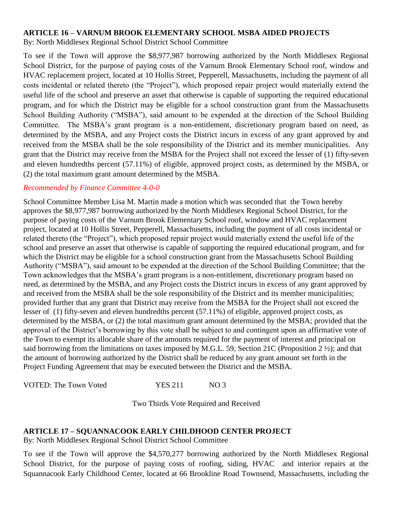# **ARTICLE 16 – VARNUM BROOK ELEMENTARY SCHOOL MSBA AIDED PROJECTS**

By: North Middlesex Regional School District School Committee

To see if the Town will approve the \$8,977,987 borrowing authorized by the North Middlesex Regional School District, for the purpose of paying costs of the Varnum Brook Elementary School roof, window and HVAC replacement project, located at 10 Hollis Street, Pepperell, Massachusetts, including the payment of all costs incidental or related thereto (the "Project"), which proposed repair project would materially extend the useful life of the school and preserve an asset that otherwise is capable of supporting the required educational program, and for which the District may be eligible for a school construction grant from the Massachusetts School Building Authority ("MSBA"), said amount to be expended at the direction of the School Building Committee. The MSBA's grant program is a non-entitlement, discretionary program based on need, as determined by the MSBA, and any Project costs the District incurs in excess of any grant approved by and received from the MSBA shall be the sole responsibility of the District and its member municipalities. Any grant that the District may receive from the MSBA for the Project shall not exceed the lesser of (1) fifty-seven and eleven hundredths percent (57.11%) of eligible, approved project costs, as determined by the MSBA, or (2) the total maximum grant amount determined by the MSBA.

# *Recommended by Finance Committee 4-0-0*

School Committee Member Lisa M. Martin made a motion which was seconded that the Town hereby approves the \$8,977,987 borrowing authorized by the North Middlesex Regional School District, for the purpose of paying costs of the Varnum Brook Elementary School roof, window and HVAC replacement project, located at 10 Hollis Street, Pepperell, Massachusetts, including the payment of all costs incidental or related thereto (the "Project"), which proposed repair project would materially extend the useful life of the school and preserve an asset that otherwise is capable of supporting the required educational program, and for which the District may be eligible for a school construction grant from the Massachusetts School Building Authority ("MSBA"), said amount to be expended at the direction of the School Building Committee; that the Town acknowledges that the MSBA's grant program is a non-entitlement, discretionary program based on need, as determined by the MSBA, and any Project costs the District incurs in excess of any grant approved by and received from the MSBA shall be the sole responsibility of the District and its member municipalities; provided further that any grant that District may receive from the MSBA for the Project shall not exceed the lesser of (1) fifty-seven and eleven hundredths percent (57.11%) of eligible, approved project costs, as determined by the MSBA, or (2) the total maximum grant amount determined by the MSBA; provided that the approval of the District's borrowing by this vote shall be subject to and contingent upon an affirmative vote of the Town to exempt its allocable share of the amounts required for the payment of interest and principal on said borrowing from the limitations on taxes imposed by M.G.L. 59, Section 21C (Proposition 2 ½); and that the amount of borrowing authorized by the District shall be reduced by any grant amount set forth in the Project Funding Agreement that may be executed between the District and the MSBA.

VOTED: The Town Voted YES 211 NO 3

Two Thirds Vote Required and Received

# **ARTICLE 17 – SQUANNACOOK EARLY CHILDHOOD CENTER PROJECT**

By: North Middlesex Regional School District School Committee

To see if the Town will approve the \$4,570,277 borrowing authorized by the North Middlesex Regional School District, for the purpose of paying costs of roofing, siding, HVAC and interior repairs at the Squannacook Early Childhood Center, located at 66 Brookline Road Townsend, Massachusetts, including the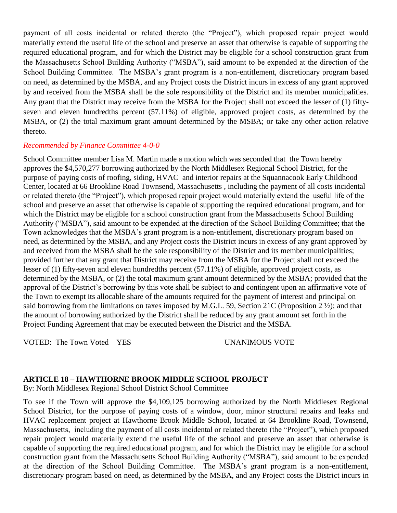payment of all costs incidental or related thereto (the "Project"), which proposed repair project would materially extend the useful life of the school and preserve an asset that otherwise is capable of supporting the required educational program, and for which the District may be eligible for a school construction grant from the Massachusetts School Building Authority ("MSBA"), said amount to be expended at the direction of the School Building Committee. The MSBA's grant program is a non-entitlement, discretionary program based on need, as determined by the MSBA, and any Project costs the District incurs in excess of any grant approved by and received from the MSBA shall be the sole responsibility of the District and its member municipalities. Any grant that the District may receive from the MSBA for the Project shall not exceed the lesser of (1) fiftyseven and eleven hundredths percent (57.11%) of eligible, approved project costs, as determined by the MSBA, or (2) the total maximum grant amount determined by the MSBA; or take any other action relative thereto.

## *Recommended by Finance Committee 4-0-0*

School Committee member Lisa M. Martin made a motion which was seconded that the Town hereby approves the \$4,570,277 borrowing authorized by the North Middlesex Regional School District, for the purpose of paying costs of roofing, siding, HVAC and interior repairs at the Squannacook Early Childhood Center, located at 66 Brookline Road Townsend, Massachusetts , including the payment of all costs incidental or related thereto (the "Project"), which proposed repair project would materially extend the useful life of the school and preserve an asset that otherwise is capable of supporting the required educational program, and for which the District may be eligible for a school construction grant from the Massachusetts School Building Authority ("MSBA"), said amount to be expended at the direction of the School Building Committee; that the Town acknowledges that the MSBA's grant program is a non-entitlement, discretionary program based on need, as determined by the MSBA, and any Project costs the District incurs in excess of any grant approved by and received from the MSBA shall be the sole responsibility of the District and its member municipalities; provided further that any grant that District may receive from the MSBA for the Project shall not exceed the lesser of (1) fifty-seven and eleven hundredths percent (57.11%) of eligible, approved project costs, as determined by the MSBA, or (2) the total maximum grant amount determined by the MSBA; provided that the approval of the District's borrowing by this vote shall be subject to and contingent upon an affirmative vote of the Town to exempt its allocable share of the amounts required for the payment of interest and principal on said borrowing from the limitations on taxes imposed by M.G.L. 59, Section 21C (Proposition 2 ½); and that the amount of borrowing authorized by the District shall be reduced by any grant amount set forth in the Project Funding Agreement that may be executed between the District and the MSBA.

VOTED: The Town Voted YES UNANIMOUS VOTE

# **ARTICLE 18 – HAWTHORNE BROOK MIDDLE SCHOOL PROJECT**

By: North Middlesex Regional School District School Committee

To see if the Town will approve the \$4,109,125 borrowing authorized by the North Middlesex Regional School District, for the purpose of paying costs of a window, door, minor structural repairs and leaks and HVAC replacement project at Hawthorne Brook Middle School, located at 64 Brookline Road, Townsend, Massachusetts, including the payment of all costs incidental or related thereto (the "Project"), which proposed repair project would materially extend the useful life of the school and preserve an asset that otherwise is capable of supporting the required educational program, and for which the District may be eligible for a school construction grant from the Massachusetts School Building Authority ("MSBA"), said amount to be expended at the direction of the School Building Committee. The MSBA's grant program is a non-entitlement, discretionary program based on need, as determined by the MSBA, and any Project costs the District incurs in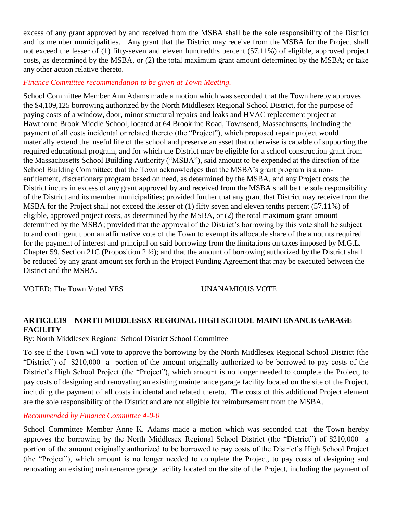excess of any grant approved by and received from the MSBA shall be the sole responsibility of the District and its member municipalities. Any grant that the District may receive from the MSBA for the Project shall not exceed the lesser of (1) fifty-seven and eleven hundredths percent (57.11%) of eligible, approved project costs, as determined by the MSBA, or (2) the total maximum grant amount determined by the MSBA; or take any other action relative thereto.

# *Finance Committee recommendation to be given at Town Meeting.*

School Committee Member Ann Adams made a motion which was seconded that the Town hereby approves the \$4,109,125 borrowing authorized by the North Middlesex Regional School District, for the purpose of paying costs of a window, door, minor structural repairs and leaks and HVAC replacement project at Hawthorne Brook Middle School, located at 64 Brookline Road, Townsend, Massachusetts, including the payment of all costs incidental or related thereto (the "Project"), which proposed repair project would materially extend the useful life of the school and preserve an asset that otherwise is capable of supporting the required educational program, and for which the District may be eligible for a school construction grant from the Massachusetts School Building Authority ("MSBA"), said amount to be expended at the direction of the School Building Committee; that the Town acknowledges that the MSBA's grant program is a nonentitlement, discretionary program based on need, as determined by the MSBA, and any Project costs the District incurs in excess of any grant approved by and received from the MSBA shall be the sole responsibility of the District and its member municipalities; provided further that any grant that District may receive from the MSBA for the Project shall not exceed the lesser of (1) fifty seven and eleven tenths percent (57.11%) of eligible, approved project costs, as determined by the MSBA, or (2) the total maximum grant amount determined by the MSBA; provided that the approval of the District's borrowing by this vote shall be subject to and contingent upon an affirmative vote of the Town to exempt its allocable share of the amounts required for the payment of interest and principal on said borrowing from the limitations on taxes imposed by M.G.L. Chapter 59, Section 21C (Proposition 2 ½); and that the amount of borrowing authorized by the District shall be reduced by any grant amount set forth in the Project Funding Agreement that may be executed between the District and the MSBA.

VOTED: The Town Voted YES UNANAMIOUS VOTE

# **ARTICLE19 – NORTH MIDDLESEX REGIONAL HIGH SCHOOL MAINTENANCE GARAGE FACILITY**

By: North Middlesex Regional School District School Committee

To see if the Town will vote to approve the borrowing by the North Middlesex Regional School District (the "District") of \$210,000 a portion of the amount originally authorized to be borrowed to pay costs of the District's High School Project (the "Project"), which amount is no longer needed to complete the Project, to pay costs of designing and renovating an existing maintenance garage facility located on the site of the Project, including the payment of all costs incidental and related thereto. The costs of this additional Project element are the sole responsibility of the District and are not eligible for reimbursement from the MSBA.

# *Recommended by Finance Committee 4-0-0*

School Committee Member Anne K. Adams made a motion which was seconded that the Town hereby approves the borrowing by the North Middlesex Regional School District (the "District") of \$210,000 a portion of the amount originally authorized to be borrowed to pay costs of the District's High School Project (the "Project"), which amount is no longer needed to complete the Project, to pay costs of designing and renovating an existing maintenance garage facility located on the site of the Project, including the payment of